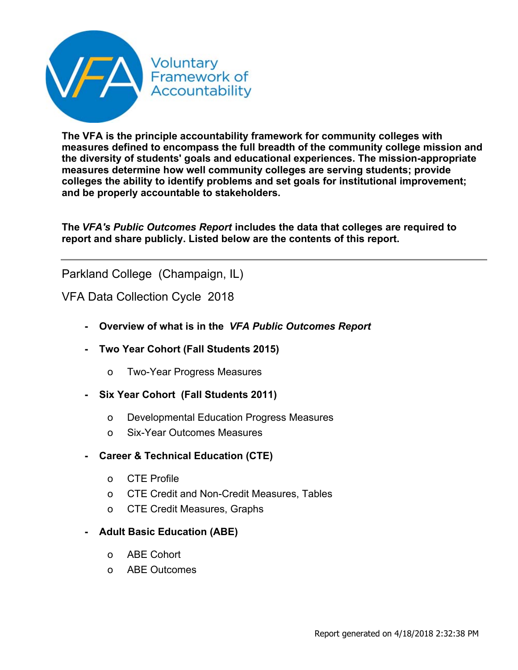

**The VFA is the principle accountability framework for community colleges with measures defined to encompass the full breadth of the community college mission and the diversity of students' goals and educational experiences. The mission-appropriate measures determine how well community colleges are serving students; provide colleges the ability to identify problems and set goals for institutional improvement; and be properly accountable to stakeholders.**

The VFA's Public Outcomes Report includes the data that colleges are required to **report and share publicly. Listed below are the contents of this report.**

Parkland College (Champaign, IL)

VFA Data Collection Cycle 2018

- **Overview of what is in the** *VFA Public Outcomes Report*
- **Two Year Cohort (Fall Students 2015)**
	- o Two-Year Progress Measures
- **Six Year Cohort (Fall Students 2011)**
	- o Developmental Education Progress Measures
	- o Six-Year Outcomes Measures
- **Career & Technical Education (CTE)**
	- o CTE Profile
	- o CTE Credit and Non-Credit Measures, Tables
	- o CTE Credit Measures, Graphs
- **Adult Basic Education (ABE)**
	- o ABE Cohort
	- o ABE Outcomes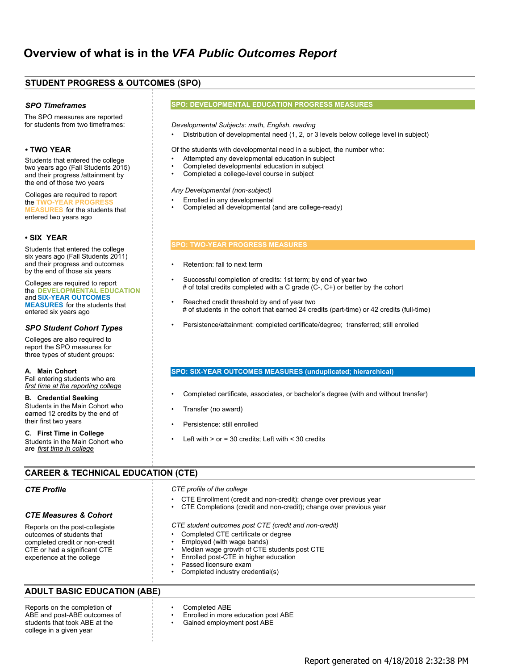## **STUDENT PROGRESS & OUTCOMES (SPO)**

#### *SPO Timeframes*

The SPO measures are reported for students from two timeframes:

### **• TWO YEAR**

Students that entered the college two years ago (Fall Students 2015) and their progress /attainment by the end of those two years

Colleges are required to report the **TWO-YEAR PROGRE ASURES** for the students that entered two years ago

#### **• SIX YEAR**

Students that entered the college six years ago (Fall Students 2011) and their progress and outcomes by the end of those six years

Colleges are required to report the DEVELOPMENTAL EDUCATION **MEASURES** for the students that **SIX-YEAR OUTCOMES** and entered six years ago

#### *SPO Student Cohort Types*

Colleges are also required to report the SPO measures for three types of student groups:

**A. Main Cohort** Fall entering students who are *first time at the reporting college*

**B. Credential Seeking** Students in the Main Cohort who earned 12 credits by the end of their first two years

**C. First Time in College** Students in the Main Cohort who are *first time in college*

#### **SPO: DEVELOPMENTAL EDUCATION PROGRESS MEASURES**

#### *Developmental Subjects: math, English, reading*

• Distribution of developmental need (1, 2, or 3 levels below college level in subject)

Of the students with developmental need in a subject, the number who:

- Attempted any developmental education in subject
- Completed developmental education in subject
- Completed a college-level course in subject

#### *Any Developmental (non-subject)*

- Enrolled in any developmental
- Completed all developmental (and are college-ready)

#### **SPO: TWO-YEAR PROGRESS MEASURES**

- Retention: fall to next term
- Successful completion of credits: 1st term; by end of year two # of total credits completed with a C grade (C-, C+) or better by the cohort
- Reached credit threshold by end of year two # of students in the cohort that earned 24 credits (part-time) or 42 credits (full-time)
- Persistence/attainment: completed certificate/degree; transferred; still enrolled

#### **SPO: SIX-YEAR OUTCOMES MEASURES (unduplicated; hierarchical)**

- Completed certificate, associates, or bachelor's degree (with and without transfer)
- Transfer (no award)
- Persistence: still enrolled
- Left with  $>$  or = 30 credits; Left with  $<$  30 credits

## **CAREER & TECHNICAL EDUCATION (CTE)**

#### *CTE Profile*

#### *CTE profile of the college*

- CTE Enrollment (credit and non-credit); change over previous year
- CTE Completions (credit and non-credit); change over previous year

#### *CTE student outcomes post CTE (credit and non-credit)*

- Completed CTE certificate or degree
- Employed (with wage bands)
- Median wage growth of CTE students post CTE
- Enrolled post-CTE in higher education
- Passed licensure exam
- Completed industry credential(s)

## **ADULT BASIC EDUCATION (ABE)**

Reports on the completion of ABE and post-ABE outcomes of students that took ABE at the college in a given year

Reports on the post-collegiate outcomes of students that completed credit or non-credit CTE or had a significant CTE experience at the college

*CTE Measures & Cohort*

- Completed ABE
- Enrolled in more education post ABE
- Gained employment post ABE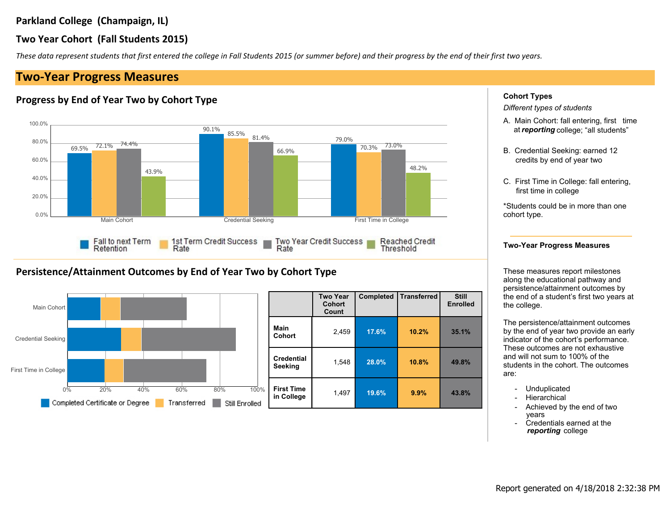## **Two Year Cohort (Fall Students 2015)**

*These data represent students that first entered the college in Fall Students 2015 (or summer before) and their progress by the end of their first two years.*

# **Two-Year Progress Measures**

## **Progress by End of Year Two by Cohort Type**



## **Persistence/Attainment Outcomes by End of Year Two by Cohort Type**



|                     |                                 | <b>Two Year</b><br><b>Cohort</b><br>Count | <b>Completed</b> | <b>Transferred</b> | <b>Still</b><br><b>Enrolled</b> |
|---------------------|---------------------------------|-------------------------------------------|------------------|--------------------|---------------------------------|
|                     | Main<br><b>Cohort</b>           | 2,459                                     | 17.6%            | 10.2%              | 35.1%                           |
|                     | <b>Credential</b><br>Seeking    | 1,548                                     | 28.0%            | 10.8%              | 49.8%                           |
| $\frac{0}{0}$<br>ł. | <b>First Time</b><br>in College | 1,497                                     | 19.6%            | 9.9%               | 43.8%                           |

### **Cohort Types**

*Different types of students*

- A. Main Cohort: fall entering, first time at*reporting* college; "all students"
- B. Credential Seeking: earned 12 credits by end of year two
- C. First Time in College: fall entering, first time in college

\*Students could be in more than one cohort type.

### **Two-Year Progress Measures**

These measures report milestones along the educational pathway and persistence/attainment outcomes by the end of a student's first two years at the college.

The persistence/attainment outcomes by the end of year two provide an early indicator of the cohort's performance. These outcomes are not exhaustive and will not sum to 100% of the students in the cohort. The outcomes are:

- **Unduplicated**
- **Hierarchical**
- Achieved by the end of two years
- Credentials earned at the *reporting* college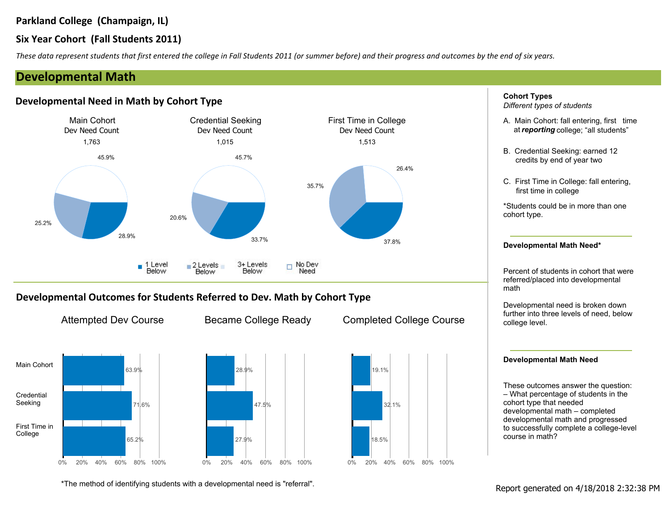## **Six Year Cohort (Fall Students 2011)**

*These data represent students that first entered the college in Fall Students 2011 (or summer before) and their progress and outcomes by the end of six years.*

# **Developmental Math**

## **Developmental Need in Math by Cohort Type**



## **Developmental Outcomes for Students Referred to Dev. Math by Cohort Type**





0% 20% 40% 60% 80% 100% 28.9% 47.5% 27.9%



**Cohort Types** *Different types of students*

- A. Main Cohort: fall entering, first time at*reporting* college; "all students"
- B. Credential Seeking: earned 12 credits by end of year two
- C. First Time in College: fall entering, first time in college

\*Students could be in more than one cohort type.

#### **Developmental Math Need\***

Percent of students in cohort that were referred/placed into developmental math

Developmental need is broken down further into three levels of need, below college level.

### **Developmental Math Need**

These outcomes answer the question: – What percentage of students in the cohort type that needed developmental math – completed developmental math and progressed to successfully complete a college-level course in math?

\*The method of identifying students with a developmental need is "referral".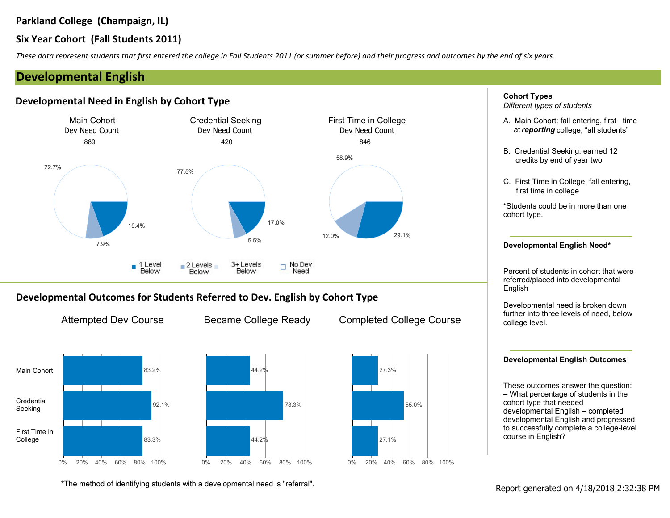## **Six Year Cohort (Fall Students 2011)**

*These data represent students that first entered the college in Fall Students 2011 (or summer before) and their progress and outcomes by the end of six years.*

# **Developmental English**

## **Developmental Need in English by Cohort Type**



## **Developmental Outcomes for Students Referred to Dev. English by Cohort Type**





78.3%







**Cohort Types** *Different types of students*

- A. Main Cohort: fall entering, first time at*reporting* college; "all students"
- B. Credential Seeking: earned 12 credits by end of year two
- C. First Time in College: fall entering, first time in college

\*Students could be in more than one cohort type.

#### **Developmental English Need\***

Percent of students in cohort that were referred/placed into developmental English

Developmental need is broken down further into three levels of need, below college level.

## **Developmental English Outcomes**

These outcomes answer the question: – What percentage of students in the cohort type that needed developmental English – completed developmental English and progressed to successfully complete a college-level course in English?

\*The method of identifying students with a developmental need is "referral".<br>Report generated on 4/18/2018 2:32:38 PM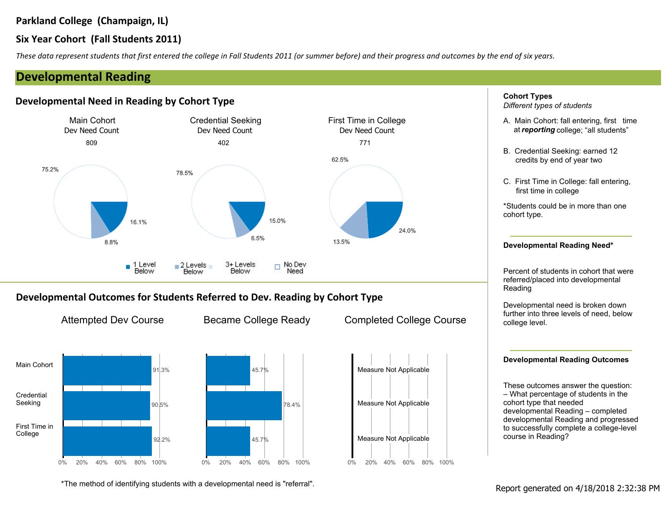# **Six Year Cohort (Fall Students 2011)**

*These data represent students that first entered the college in Fall Students 2011 (or summer before) and their progress and outcomes by the end of six years.*

# **Developmental Reading**

## **Developmental Need in Reading by Cohort Type**



## **Developmental Outcomes for Students Referred to Dev. Reading by Cohort Type**



Attempted Dev Course Became College Ready Completed College Course

0% 20% 40% 60% 80% 100%

Measure Not Applicable

Measure Not Applicable



\*The method of identifying students with a developmental need is "referral".<br>Report generated on 4/18/2018 2:32:38 PM



– What percentage of students in the cohort type that needed developmental Reading – completed developmental Reading and progressed to successfully complete a college-level course in Reading?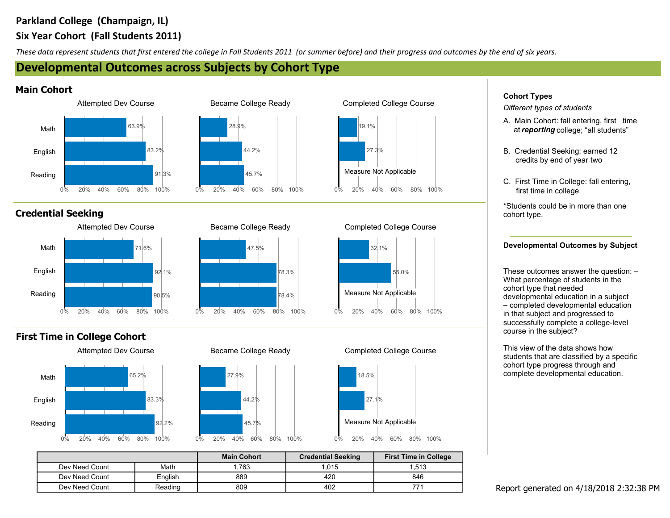# **Six Year Cohort (Fall Students 2011) Parkland College (Champaign, IL)**

*These data represent students that first entered the college in Fall Students 2011 (or summer before) and their progress and outcomes by the end of six years.*

# **Developmental Outcomes across Subjects by Cohort Type**

## **Main Cohort**



# **Credential Seeking**



# **First Time in College Cohort**





0% 20% 40% 60% 80% 100%

44.2%

45.7%

28.9%





## Attempted Dev Course **Became College Ready** Completed College Course

0% 20% 40% 60% 80% 100%

55.0%

32.1%

Measure Not Applicable



|                |         | <b>Main Cohort</b> | <b>Credential Seeking</b> | <b>First Time in College</b> |
|----------------|---------|--------------------|---------------------------|------------------------------|
| Dev Need Count | Math    | 1,763              | 1,015                     | 1,513                        |
| Dev Need Count | English | 889                | 420                       | 846                          |
| Dev Need Count | Reading | 809                | 402                       |                              |



# **Cohort Types**

*Different types of students*

- A. Main Cohort: fall entering, first time at*reporting* college; "all students"
- B. Credential Seeking: earned 12 credits by end of year two
- C. First Time in College: fall entering, first time in college

\*Students could be in more than one cohort type.

## **Developmental Outcomes by Subject**

These outcomes answer the question: – What percentage of students in the cohort type that needed developmental education in a subject – completed developmental education in that subject and progressed to successfully complete a college-level course in the subject?

This view of the data shows how students that are classified by a specific cohort type progress through and complete developmental education.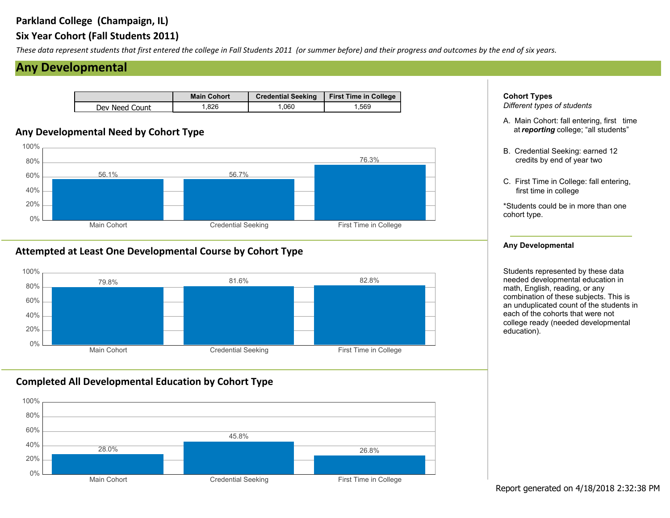# **Six Year Cohort (Fall Students 2011)**

*These data represent students that first entered the college in Fall Students 2011 (or summer before) and their progress and outcomes by the end of six years.*

# **Any Developmental**

|                | <b>Main Cohort</b> | <b>Credential Seeking</b> | <b>First Time in College</b> |
|----------------|--------------------|---------------------------|------------------------------|
| Dev Need Count | .826               | .060                      | .569                         |

# **Any Developmental Need by Cohort Type**



## **Attempted at Least One Developmental Course by Cohort Type**



# **Completed All Developmental Education by Cohort Type**



**Cohort Types** *Different types of students*

- A. Main Cohort: fall entering, first time at*reporting* college; "all students"
- B. Credential Seeking: earned 12 credits by end of year two
- C. First Time in College: fall entering, first time in college

\*Students could be in more than one cohort type.

### **Any Developmental**

Students represented by these data needed developmental education in math, English, reading, or any combination of these subjects. This is an unduplicated count of the students in each of the cohorts that were not college ready (needed developmental education).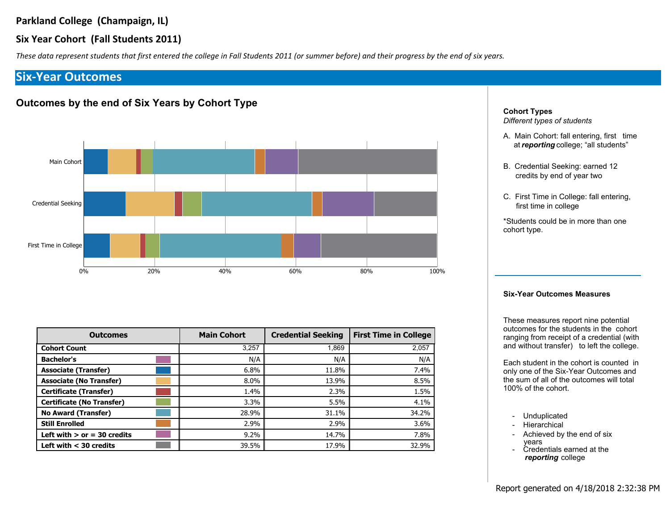## **Six Year Cohort (Fall Students 2011)**

*These data represent students that first entered the college in Fall Students 2011 (or summer before) and their progress by the end of six years.*

# **Six-Year Outcomes**

## **Outcomes by the end of Six Years by Cohort Type**



| <b>Outcomes</b>                  | <b>Main Cohort</b> | <b>Credential Seeking</b> | <b>First Time in College</b> |
|----------------------------------|--------------------|---------------------------|------------------------------|
| <b>Cohort Count</b>              | 3,257              | 1.869                     | 2,057                        |
| <b>Bachelor's</b>                | N/A                | N/A                       | N/A                          |
| <b>Associate (Transfer)</b>      | 6.8%               | 11.8%                     | 7.4%                         |
| <b>Associate (No Transfer)</b>   | $8.0\%$            | 13.9%                     | 8.5%                         |
| <b>Certificate (Transfer)</b>    | 1.4%               | 2.3%                      | 1.5%                         |
| <b>Certificate (No Transfer)</b> | 3.3%               | 5.5%                      | 4.1%                         |
| <b>No Award (Transfer)</b>       | 28.9%              | 31.1%                     | 34.2%                        |
| <b>Still Enrolled</b>            | 2.9%               | 2.9%                      | $3.6\%$                      |
| Left with $>$ or = 30 credits    | $9.2\%$            | 14.7%                     | 7.8%                         |
| Left with $<$ 30 credits         | 39.5%              | 17.9%                     | 32.9%                        |

**Cohort Types** *Different types of students*

- A. Main Cohort: fall entering, first time at*reporting* college; "all students"
- B. Credential Seeking: earned 12 credits by end of year two
- C. First Time in College: fall entering, first time in college

\*Students could be in more than one cohort type.

### **Six-Year Outcomes Measures**

These measures report nine potential outcomes for the students in the cohort ranging from receipt of a credential (with and without transfer) to left the college.

Each student in the cohort is counted in only one of the Six-Year Outcomes and the sum of all of the outcomes will total 100% of the cohort.

- Unduplicated
- Hierarchical
- Achieved by the end of six - Credentials earned at the years
- *reporting* college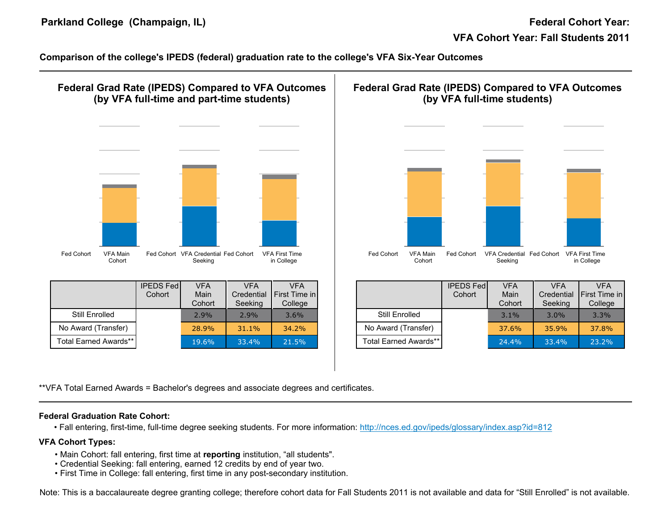**Comparison of the college's IPEDS (federal) graduation rate to the college's VFA Six-Year Outcomes**



## **VFA Cohort Types:**

- Main Cohort: fall entering, first time at reporting institution, "all students".
- Credential Seeking: fall entering, earned 12 credits by end of year two.
- First Time in College: fall entering, first time in any post-secondary institution.

Note: This is a baccalaureate degree granting college; therefore cohort data for Fall Students 2011 is not available and data for "Still Enrolled" is not available.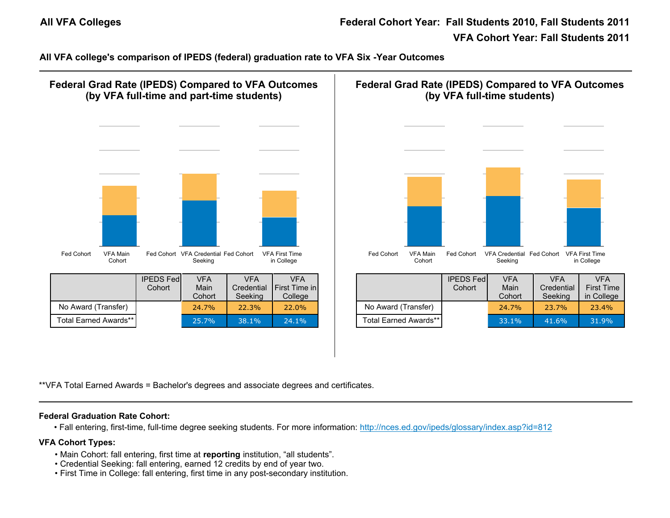**All VFA college's comparison of IPEDS (federal) graduation rate to VFA Six -Year Outcomes**



\*\*VFA Total Earned Awards = Bachelor's degrees and associate degrees and certificates.

## **Federal Graduation Rate Cohort:**

• Fall entering, first-time, full-time degree seeking students. For more information: http://nces.ed.gov/ipeds/glossary/index.asp?id=812

## **VFA Cohort Types:**

- Main Cohort: fall entering, first time at reporting institution, "all students".
- Credential Seeking: fall entering, earned 12 credits by end of year two.
- First Time in College: fall entering, first time in any post-secondary institution.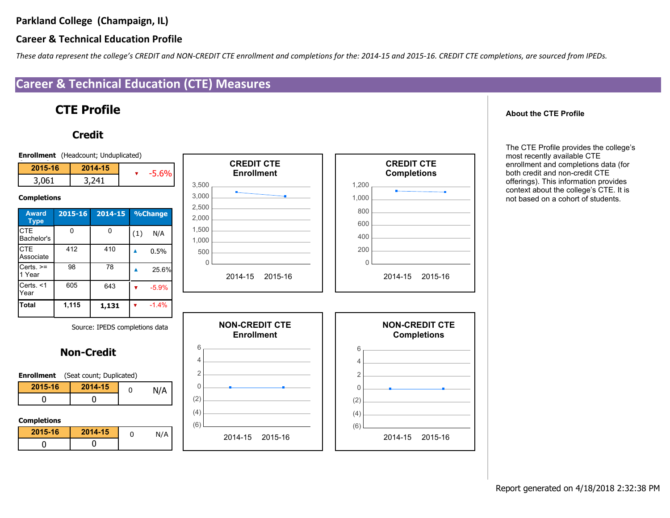# **Career & Technical Education Profile**

*These data represent the college's CREDIT and NON-CREDIT CTE enrollment and completions for the: 2014-15 and 2015-16. CREDIT CTE completions, are sourced from IPEDs.*

# **Career & Technical Education (CTE) Measures**

# **CTE Profile**

# **Credit**



**About the CTE Profile**

The CTE Profile provides the college's most recently available CTE enrollment and completions data (for both credit and non-credit CTE offerings). This information provides context about the college's CTE. It is not based on a cohort of students.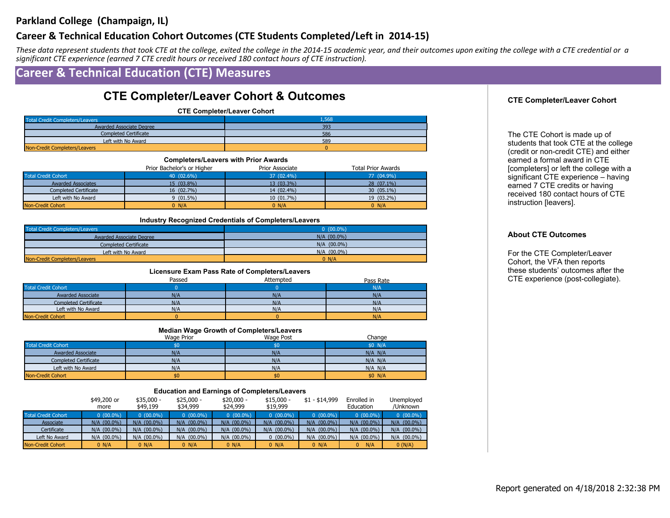## **Career & Technical Education Cohort Outcomes (CTE Students Completed/Left in 2014-15)**

*These data represent students that took CTE at the college, exited the college in the 2014-15 academic year, and their outcomes upon exiting the college with a CTE credential or a significant CTE experience (earned 7 CTE credit hours or received 180 contact hours of CTE instruction).*

# **Career & Technical Education (CTE) Measures**

# **CTE Completer/Leaver Cohort & Outcomes**

**CTE Completer/Leaver Cohort**

| <b>Total Credit Completers/Leavers</b> | 1,568 |
|----------------------------------------|-------|
| Awarded Associate Degree               | 393   |
| <b>Completed Certificate</b>           | 586   |
| Left with No Award                     | 589   |
| Non-Credit Completers/Leavers          |       |

| <b>Completers/Leavers with Prior Awards</b> |                            |                 |                           |  |  |
|---------------------------------------------|----------------------------|-----------------|---------------------------|--|--|
|                                             | Prior Bachelor's or Higher | Prior Associate | <b>Total Prior Awards</b> |  |  |
| <b>Total Credit Cohort</b>                  | 40 (02.6%)                 | 37 (02.4%)      | 77 (04.9%)                |  |  |
| <b>Awarded Associates</b>                   | 15 (03.8%)                 | 13 (03.3%)      | $28(07.1\%)$              |  |  |
| <b>Completed Certificate</b>                | 16 (02.7%)                 | 14 (02.4%)      | 30 (05.1%)                |  |  |
| Left with No Award                          | $9(01.5\%)$                | $10(01.7\%)$    | 19 (03.2%)                |  |  |
| Non-Credit Cohort                           | 0 N/A                      | $0$ N/A         | 0 N/A                     |  |  |

#### **Industry Recognized Credentials of Completers/Leavers**

| <b>Total Credit Completers/Leavers</b> | $0(00.0\%)$   |
|----------------------------------------|---------------|
| <b>Awarded Associate Degree</b>        | $N/A$ (00.0%) |
| <b>Completed Certificate</b>           | $N/A$ (00.0%) |
| Left with No Award                     | $N/A$ (00.0%) |
| Non-Credit Completers/Leavers          | 0 N/A         |

#### **Licensure Exam Pass Rate of Completers/Leavers**

|                            | Passed | Attempted | Pass Rate  |
|----------------------------|--------|-----------|------------|
| <b>Total Credit Cohort</b> |        |           | $N/\Delta$ |
| <b>Awarded Associate</b>   | N/A    | N/A       | N/A        |
| Completed Certificate      | N/A    | N/A       | N/A        |
| Left with No Award         | N/A    | N/A       | N/A        |
| Non-Credit Cohort          |        |           | N/A        |

#### **Median Wage Growth of Completers/Leavers**

|                              | Wage Prior | Wage Post | Change      |
|------------------------------|------------|-----------|-------------|
| <b>Total Credit Cohort</b>   |            |           | \$0 N/A     |
| <b>Awarded Associate</b>     | N/A        | N/F       | $N/A$ $N/A$ |
| <b>Completed Certificate</b> | N/A        | N/A       | N/A N/A     |
| Left with No Award           | N/A        | N/A       | $N/A$ $N/A$ |
| Non-Credit Cohort            | \$0        | \$0       | \$0 N/A     |

#### **Education and Earnings of Completers/Leavers**

|                            | \$49,200 or<br>more | $$35.000 -$<br>\$49,199 | $$25.000 -$<br>\$34,999 | $$20.000 -$<br>\$24,999 | $$15,000 -$<br>\$19,999 | $$1 - $14,999$ | Enrolled in<br>Education | Unemployed<br>/Unknown |
|----------------------------|---------------------|-------------------------|-------------------------|-------------------------|-------------------------|----------------|--------------------------|------------------------|
| <b>Total Credit Cohort</b> | $0(00.0\%)$         | $0(00.0\%)$             | $0(00.0\%)$             | $0(00.0\%)$             | $0(00.0\%)$             | $0(00.0\%)$    | $0(00.0\%)$              | $0(00.0\%)$            |
| Associate                  | $N/A$ (00.0%)       | $N/A$ (00.0%)           | $N/A$ $(00.0\%)$        | $N/A$ $(00.0\%)$        | $N/A$ $(00.0\%)$        | $N/A$ (00.0%)  | $N/A$ $(00.0\%)$         | $N/A$ $(00.0\%)$       |
| Certificate                | $N/A$ (00.0%)       | $N/A$ (00.0%)           | $N/A$ (00.0%)           | $N/A$ (00.0%)           | $N/A$ (00.0%)           | $N/A$ (00.0%)  | $N/A$ (00.0%)            | $N/A$ (00.0%)          |
| Left No Award              | $N/A$ (00.0%)       | $N/A$ (00.0%)           | $N/A$ (00.0%)           | $N/A$ (00.0%)           | $(00.0\%)$              | $N/A$ (00.0%)  | N/A (00.0%)              | $N/A$ (00.0%)          |
| Non-Credit Cohort          | 0 N/A               | 0 N/A                   | 0 N/A                   | 0 N/A                   | 0 N/A                   | 0 N/A          | N/A                      | 0(N/A)                 |

## **CTE Completer/Leaver Cohort**

The CTE Cohort is made up of students that took CTE at the college (credit or non-credit CTE) and either earned a formal award in CTE [completers] or left the college with a significant CTE experience – having earned 7 CTE credits or having received 180 contact hours of CTE instruction [leavers].

### **About CTE Outcomes**

For the CTE Completer/Leaver Cohort, the VFA then reports these students' outcomes after the CTE experience (post-collegiate).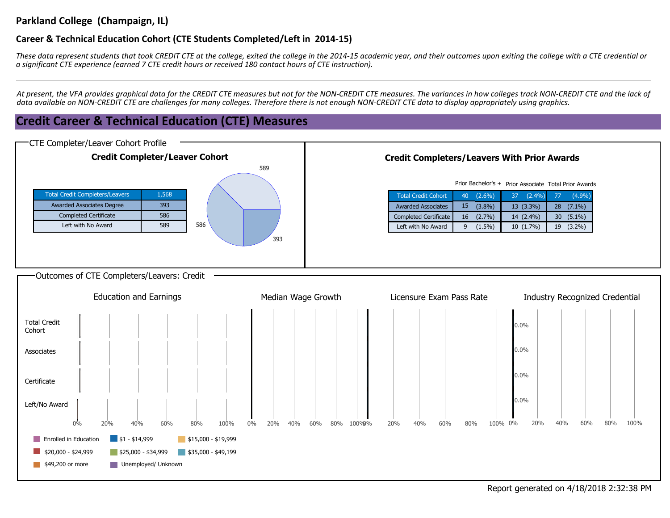## **Career & Technical Education Cohort (CTE Students Completed/Left in 2014-15)**

*These data represent students that took CREDIT CTE at the college, exited the college in the 2014-15 academic year, and their outcomes upon exiting the college with a CTE credential or a significant CTE experience (earned 7 CTE credit hours or received 180 contact hours of CTE instruction).*

*At present, the VFA provides graphical data for the CREDIT CTE measures but not for the NON-CREDIT CTE measures. The variances in how colleges track NON-CREDIT CTE and the lack of data available on NON-CREDIT CTE are challenges for many colleges. Therefore there is not enough NON-CREDIT CTE data to display appropriately using graphics.*

# **Credit Career & Technical Education (CTE) Measures**